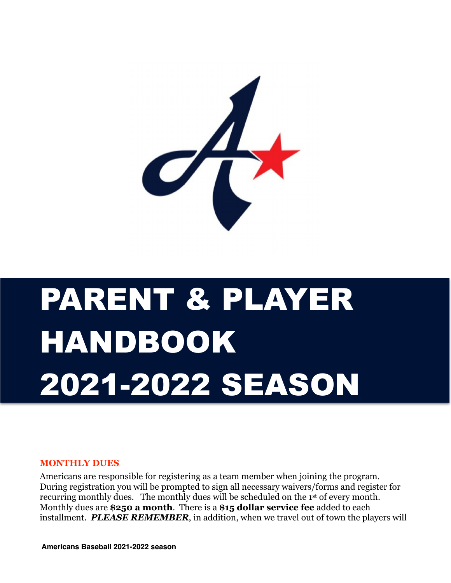

# PARENT & PLAYER HANDBOOK 2021-2022 SEASON

#### **MONTHLY DUES**

Americans are responsible for registering as a team member when joining the program. During registration you will be prompted to sign all necessary waivers/forms and register for recurring monthly dues. The monthly dues will be scheduled on the 1st of every month. Monthly dues are **\$250 a month**. There is a **\$15 dollar service fee** added to each installment. *PLEASE REMEMBER*, in addition, when we travel out of town the players will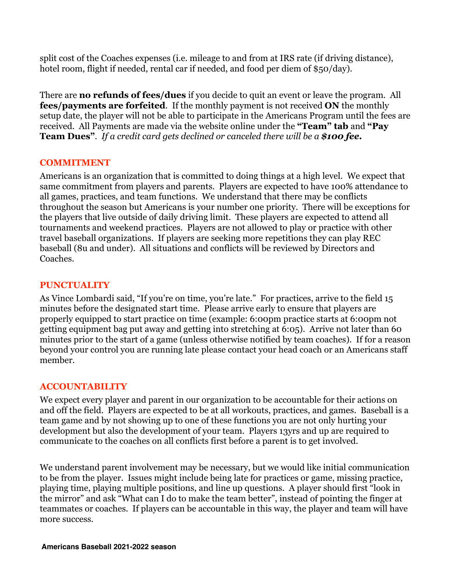split cost of the Coaches expenses (i.e. mileage to and from at IRS rate (if driving distance), hotel room, flight if needed, rental car if needed, and food per diem of \$50/day).

There are **no refunds of fees/dues** if you decide to quit an event or leave the program. All **fees/payments are forfeited**. If the monthly payment is not received **ON** the monthly setup date, the player will not be able to participate in the Americans Program until the fees are received. All Payments are made via the website online under the **"Team" tab** and **"Pay Team Dues"**. *If a credit card gets declined or canceled there will be a \$100 fee***.** 

### **COMMITMENT**

Americans is an organization that is committed to doing things at a high level. We expect that same commitment from players and parents. Players are expected to have 100% attendance to all games, practices, and team functions. We understand that there may be conflicts throughout the season but Americans is your number one priority. There will be exceptions for the players that live outside of daily driving limit. These players are expected to attend all tournaments and weekend practices. Players are not allowed to play or practice with other travel baseball organizations. If players are seeking more repetitions they can play REC baseball (8u and under). All situations and conflicts will be reviewed by Directors and Coaches.

## **PUNCTUALITY**

As Vince Lombardi said, "If you're on time, you're late." For practices, arrive to the field 15 minutes before the designated start time. Please arrive early to ensure that players are properly equipped to start practice on time (example: 6:00pm practice starts at 6:00pm not getting equipment bag put away and getting into stretching at 6:05). Arrive not later than 60 minutes prior to the start of a game (unless otherwise notified by team coaches). If for a reason beyond your control you are running late please contact your head coach or an Americans staff member.

## **ACCOUNTABILITY**

We expect every player and parent in our organization to be accountable for their actions on and off the field. Players are expected to be at all workouts, practices, and games. Baseball is a team game and by not showing up to one of these functions you are not only hurting your development but also the development of your team. Players 13yrs and up are required to communicate to the coaches on all conflicts first before a parent is to get involved.

We understand parent involvement may be necessary, but we would like initial communication to be from the player. Issues might include being late for practices or game, missing practice, playing time, playing multiple positions, and line up questions. A player should first "look in the mirror" and ask "What can I do to make the team better", instead of pointing the finger at teammates or coaches. If players can be accountable in this way, the player and team will have more success.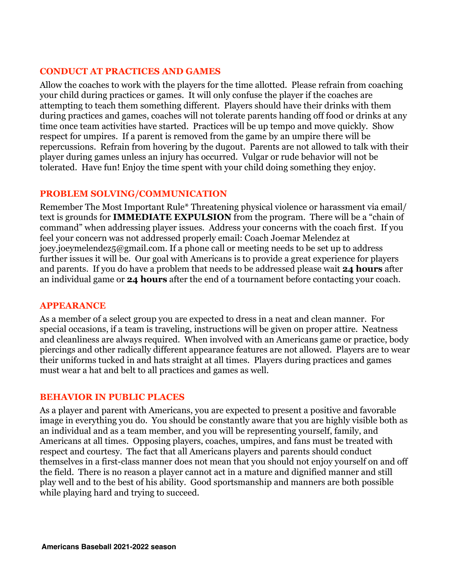## **CONDUCT AT PRACTICES AND GAMES**

Allow the coaches to work with the players for the time allotted. Please refrain from coaching your child during practices or games. It will only confuse the player if the coaches are attempting to teach them something different. Players should have their drinks with them during practices and games, coaches will not tolerate parents handing off food or drinks at any time once team activities have started. Practices will be up tempo and move quickly. Show respect for umpires. If a parent is removed from the game by an umpire there will be repercussions. Refrain from hovering by the dugout. Parents are not allowed to talk with their player during games unless an injury has occurred. Vulgar or rude behavior will not be tolerated. Have fun! Enjoy the time spent with your child doing something they enjoy.

#### **PROBLEM SOLVING/COMMUNICATION**

Remember The Most Important Rule\* Threatening physical violence or harassment via email/ text is grounds for **IMMEDIATE EXPULSION** from the program. There will be a "chain of command" when addressing player issues. Address your concerns with the coach first. If you feel your concern was not addressed properly email: Coach Joemar Melendez at joey.joeymelendez5@gmail.com. If a phone call or meeting needs to be set up to address further issues it will be. Our goal with Americans is to provide a great experience for players and parents. If you do have a problem that needs to be addressed please wait **24 hours** after an individual game or **24 hours** after the end of a tournament before contacting your coach.

#### **APPEARANCE**

As a member of a select group you are expected to dress in a neat and clean manner. For special occasions, if a team is traveling, instructions will be given on proper attire. Neatness and cleanliness are always required. When involved with an Americans game or practice, body piercings and other radically different appearance features are not allowed. Players are to wear their uniforms tucked in and hats straight at all times. Players during practices and games must wear a hat and belt to all practices and games as well.

#### **BEHAVIOR IN PUBLIC PLACES**

As a player and parent with Americans, you are expected to present a positive and favorable image in everything you do. You should be constantly aware that you are highly visible both as an individual and as a team member, and you will be representing yourself, family, and Americans at all times. Opposing players, coaches, umpires, and fans must be treated with respect and courtesy. The fact that all Americans players and parents should conduct themselves in a first-class manner does not mean that you should not enjoy yourself on and off the field. There is no reason a player cannot act in a mature and dignified manner and still play well and to the best of his ability. Good sportsmanship and manners are both possible while playing hard and trying to succeed.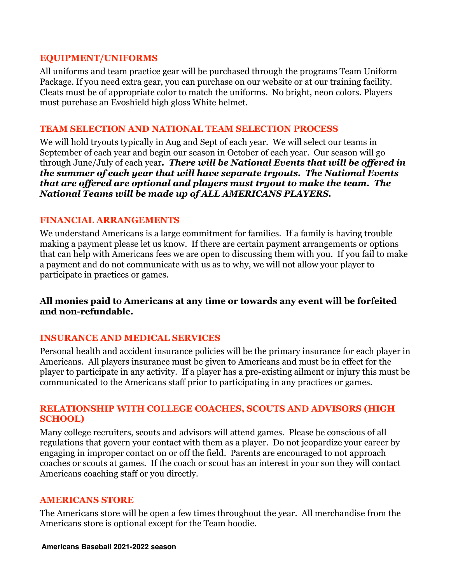#### **EQUIPMENT/UNIFORMS**

All uniforms and team practice gear will be purchased through the programs Team Uniform Package. If you need extra gear, you can purchase on our website or at our training facility. Cleats must be of appropriate color to match the uniforms. No bright, neon colors. Players must purchase an Evoshield high gloss White helmet.

### **TEAM SELECTION AND NATIONAL TEAM SELECTION PROCESS**

We will hold tryouts typically in Aug and Sept of each year. We will select our teams in September of each year and begin our season in October of each year. Our season will go through June/July of each year*. There will be National Events that will be offered in the summer of each year that will have separate tryouts. The National Events that are offered are optional and players must tryout to make the team. The National Teams will be made up of ALL AMERICANS PLAYERS.* 

### **FINANCIAL ARRANGEMENTS**

We understand Americans is a large commitment for families. If a family is having trouble making a payment please let us know. If there are certain payment arrangements or options that can help with Americans fees we are open to discussing them with you. If you fail to make a payment and do not communicate with us as to why, we will not allow your player to participate in practices or games.

## **All monies paid to Americans at any time or towards any event will be forfeited and non-refundable.**

## **INSURANCE AND MEDICAL SERVICES**

Personal health and accident insurance policies will be the primary insurance for each player in Americans. All players insurance must be given to Americans and must be in effect for the player to participate in any activity. If a player has a pre-existing ailment or injury this must be communicated to the Americans staff prior to participating in any practices or games.

## **RELATIONSHIP WITH COLLEGE COACHES, SCOUTS AND ADVISORS (HIGH SCHOOL)**

Many college recruiters, scouts and advisors will attend games. Please be conscious of all regulations that govern your contact with them as a player. Do not jeopardize your career by engaging in improper contact on or off the field. Parents are encouraged to not approach coaches or scouts at games. If the coach or scout has an interest in your son they will contact Americans coaching staff or you directly.

## **AMERICANS STORE**

The Americans store will be open a few times throughout the year. All merchandise from the Americans store is optional except for the Team hoodie.